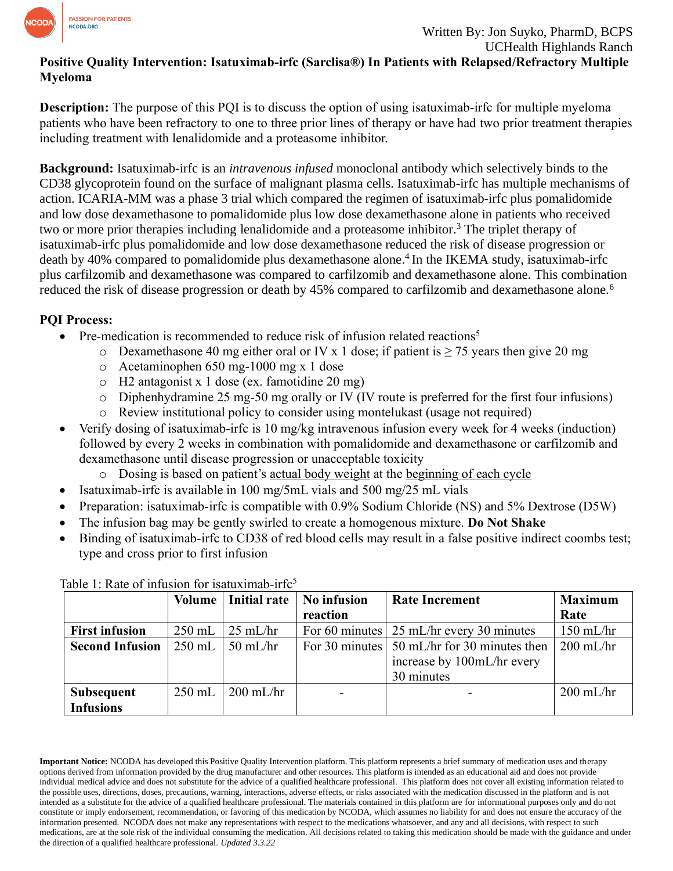

## **Positive Quality Intervention: Isatuximab-irfc (Sarclisa®) In Patients with Relapsed/Refractory Multiple Myeloma**

**Description:** The purpose of this PQI is to discuss the option of using isatuximab-irfc for multiple myeloma patients who have been refractory to one to three prior lines of therapy or have had two prior treatment therapies including treatment with lenalidomide and a proteasome inhibitor.

**Background:** Isatuximab-irfc is an *intravenous infused* monoclonal antibody which selectively binds to the CD38 glycoprotein found on the surface of malignant plasma cells. Isatuximab-irfc has multiple mechanisms of action. ICARIA-MM was a phase 3 trial which compared the regimen of isatuximab-irfc plus pomalidomide and low dose dexamethasone to pomalidomide plus low dose dexamethasone alone in patients who received two or more prior therapies including lenalidomide and a proteasome inhibitor.<sup>3</sup> The triplet therapy of isatuximab-irfc plus pomalidomide and low dose dexamethasone reduced the risk of disease progression or death by 40% compared to pomalidomide plus dexamethasone alone. 4 In the IKEMA study, isatuximab-irfc plus carfilzomib and dexamethasone was compared to carfilzomib and dexamethasone alone. This combination reduced the risk of disease progression or death by 45% compared to carfilzomib and dexamethasone alone.<sup>6</sup>

## **PQI Process:**

- Pre-medication is recommended to reduce risk of infusion related reactions<sup>5</sup>
	- $\circ$  Dexamethasone 40 mg either oral or IV x 1 dose; if patient is > 75 years then give 20 mg
	- o Acetaminophen 650 mg-1000 mg x 1 dose
	- o H2 antagonist x 1 dose (ex. famotidine 20 mg)
	- $\circ$  Diphenhydramine 25 mg-50 mg orally or IV (IV route is preferred for the first four infusions)
	- o Review institutional policy to consider using montelukast (usage not required)
- Verify dosing of isatuximab-irfc is 10 mg/kg intravenous infusion every week for 4 weeks (induction) followed by every 2 weeks in combination with pomalidomide and dexamethasone or carfilzomib and dexamethasone until disease progression or unacceptable toxicity
	- o Dosing is based on patient's actual body weight at the beginning of each cycle
- Isatuximab-irfc is available in 100 mg/5mL vials and 500 mg/25 mL vials
- Preparation: isatuximab-irfc is compatible with 0.9% Sodium Chloride (NS) and 5% Dextrose (D5W)
- The infusion bag may be gently swirled to create a homogenous mixture. **Do Not Shake**
- Binding of isatuximab-irfc to CD38 of red blood cells may result in a false positive indirect coombs test; type and cross prior to first infusion

|                        |          | Volume   Initial rate | No infusion              | <b>Rate Increment</b>                                                    | <b>Maximum</b> |
|------------------------|----------|-----------------------|--------------------------|--------------------------------------------------------------------------|----------------|
|                        |          |                       | reaction                 |                                                                          | Rate           |
| <b>First infusion</b>  | $250$ mL | $25 \text{ mL/hr}$    |                          | For 60 minutes $\frac{25 \text{ mL/hr}}{25 \text{ mL}}$ every 30 minutes | $150$ mL/hr    |
| <b>Second Infusion</b> | $250$ mL | $50$ mL/hr            |                          | For 30 minutes $\vert$ 50 mL/hr for 30 minutes then                      | $200$ mL/hr    |
|                        |          |                       |                          | increase by 100mL/hr every                                               |                |
|                        |          |                       |                          | 30 minutes                                                               |                |
| <b>Subsequent</b>      | $250$ mL | $200$ mL/hr           | $\overline{\phantom{a}}$ |                                                                          | $200$ mL/hr    |
| <b>Infusions</b>       |          |                       |                          |                                                                          |                |

Table 1: Rate of infusion for isatuximab-irf $c^5$ 

**Important Notice:** NCODA has developed this Positive Quality Intervention platform. This platform represents a brief summary of medication uses and therapy options derived from information provided by the drug manufacturer and other resources. This platform is intended as an educational aid and does not provide individual medical advice and does not substitute for the advice of a qualified healthcare professional. This platform does not cover all existing information related to the possible uses, directions, doses, precautions, warning, interactions, adverse effects, or risks associated with the medication discussed in the platform and is not intended as a substitute for the advice of a qualified healthcare professional. The materials contained in this platform are for informational purposes only and do not constitute or imply endorsement, recommendation, or favoring of this medication by NCODA, which assumes no liability for and does not ensure the accuracy of the information presented. NCODA does not make any representations with respect to the medications whatsoever, and any and all decisions, with respect to such medications, are at the sole risk of the individual consuming the medication. All decisions related to taking this medication should be made with the guidance and under the direction of a qualified healthcare professional. *Updated 3.3.22*